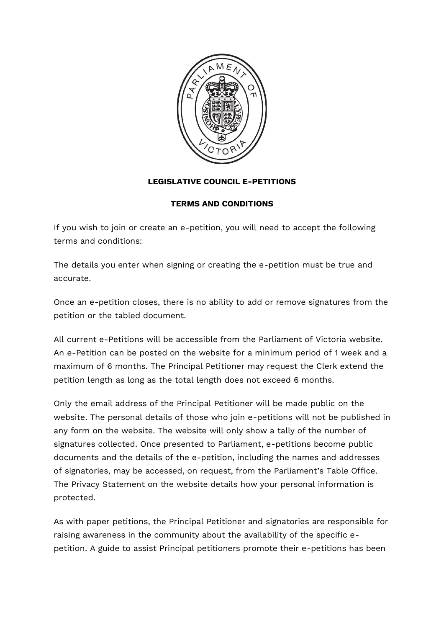

## **LEGISLATIVE COUNCIL E-PETITIONS**

## **TERMS AND CONDITIONS**

If you wish to join or create an e-petition, you will need to accept the following terms and conditions:

The details you enter when signing or creating the e-petition must be true and accurate.

Once an e-petition closes, there is no ability to add or remove signatures from the petition or the tabled document.

All current e-Petitions will be accessible from the Parliament of Victoria website. An e-Petition can be posted on the website for a minimum period of 1 week and a maximum of 6 months. The Principal Petitioner may request the Clerk extend the petition length as long as the total length does not exceed 6 months.

Only the email address of the Principal Petitioner will be made public on the website. The personal details of those who join e-petitions will not be published in any form on the website. The website will only show a tally of the number of signatures collected. Once presented to Parliament, e-petitions become public documents and the details of the e-petition, including the names and addresses of signatories, may be accessed, on request, from the Parliament's Table Office. The Privacy Statement on the website details how your personal information is protected.

As with paper petitions, the Principal Petitioner and signatories are responsible for raising awareness in the community about the availability of the specific epetition. A guide to assist Principal petitioners promote their e-petitions has been